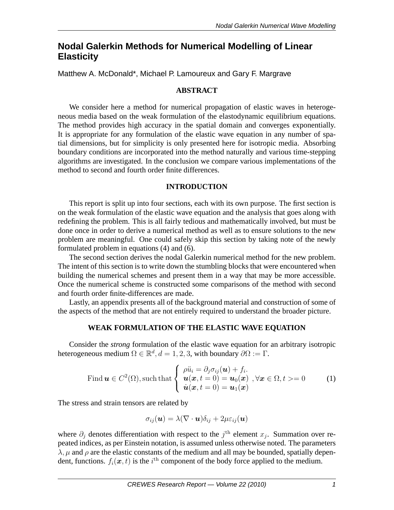# **Nodal Galerkin Methods for Numerical Modelling of Linear Elasticity**

Matthew A. McDonald\*, Michael P. Lamoureux and Gary F. Margrave

## **ABSTRACT**

We consider here a method for numerical propagation of elastic waves in heterogeneous media based on the weak formulation of the elastodynamic equilibrium equations. The method provides high accuracy in the spatial domain and converges exponentially. It is appropriate for any formulation of the elastic wave equation in any number of spatial dimensions, but for simplicity is only presented here for isotropic media. Absorbing boundary conditions are incorporated into the method naturally and various time-stepping algorithms are investigated. In the conclusion we compare various implementations of the method to second and fourth order finite differences.

### **INTRODUCTION**

This report is split up into four sections, each with its own purpose. The first section is on the weak formulation of the elastic wave equation and the analysis that goes along with redefining the problem. This is all fairly tedious and mathematically involved, but must be done once in order to derive a numerical method as well as to ensure solutions to the new problem are meaningful. One could safely skip this section by taking note of the newly formulated problem in equations (4) and (6).

The second section derives the nodal Galerkin numerical method for the new problem. The intent of this section is to write down the stumbling blocks that were encountered when building the numerical schemes and present them in a way that may be more accessible. Once the numerical scheme is constructed some comparisons of the method with second and fourth order finite-differences are made.

Lastly, an appendix presents all of the background material and construction of some of the aspects of the method that are not entirely required to understand the broader picture.

### **WEAK FORMULATION OF THE ELASTIC WAVE EQUATION**

Consider the *strong* formulation of the elastic wave equation for an arbitrary isotropic heterogeneous medium  $\Omega \in \mathbb{R}^d$ ,  $d = 1, 2, 3$ , with boundary  $\partial \Omega := \Gamma$ .

Find 
$$
\mathbf{u} \in C^2(\Omega)
$$
, such that 
$$
\begin{cases} \n\rho \ddot{u}_i = \partial_j \sigma_{ij}(\mathbf{u}) + f_i. \\
\mathbf{u}(\mathbf{x}, t = 0) = \mathbf{u}_0(\mathbf{x}), \forall \mathbf{x} \in \Omega, t > = 0 \\
\dot{\mathbf{u}}(\mathbf{x}, t = 0) = \mathbf{u}_1(\mathbf{x})\n\end{cases}
$$
\n(1)

The stress and strain tensors are related by

$$
\sigma_{ij}(\boldsymbol{u}) = \lambda (\nabla \cdot \boldsymbol{u}) \delta_{ij} + 2\mu \varepsilon_{ij}(\boldsymbol{u})
$$

where  $\partial_j$  denotes differentiation with respect to the  $j^{\text{th}}$  element  $x_j$ . Summation over repeated indices, as per Einstein notation, is assumed unless otherwise noted. The parameters  $\lambda$ ,  $\mu$  and  $\rho$  are the elastic constants of the medium and all may be bounded, spatially dependent, functions.  $f_i(\boldsymbol{x}, t)$  is the  $i^{\text{th}}$  component of the body force applied to the medium.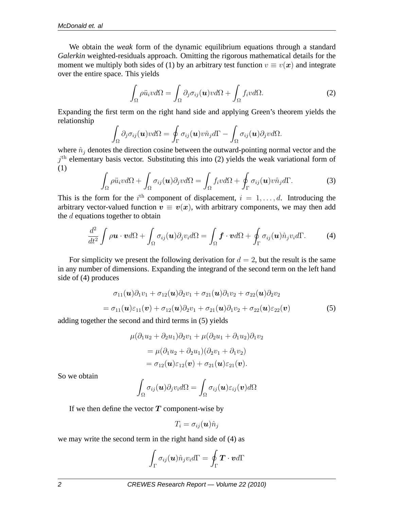We obtain the *weak* form of the dynamic equilibrium equations through a standard *Galerkin* weighted-residuals approach. Omitting the rigorous mathematical details for the moment we multiply both sides of (1) by an arbitrary test function  $v \equiv v(x)$  and integrate over the entire space. This yields

$$
\int_{\Omega} \rho \ddot{u}_i v d\Omega = \int_{\Omega} \partial_j \sigma_{ij}(\mathbf{u}) v d\Omega + \int_{\Omega} f_i v d\Omega.
$$
 (2)

Expanding the first term on the right hand side and applying Green's theorem yields the relationship

$$
\int_{\Omega} \partial_j \sigma_{ij}(\boldsymbol{u}) \nu d\Omega = \oint_{\Gamma} \sigma_{ij}(\boldsymbol{u}) \nu \hat{n}_j d\Gamma - \int_{\Omega} \sigma_{ij}(\boldsymbol{u}) \partial_j \nu d\Omega.
$$

where  $\hat{n}_i$  denotes the direction cosine between the outward-pointing normal vector and the  $j<sup>th</sup>$  elementary basis vector. Substituting this into (2) yields the weak variational form of (1)

$$
\int_{\Omega} \rho \ddot{u}_i v d\Omega + \int_{\Omega} \sigma_{ij}(\boldsymbol{u}) \partial_j v d\Omega = \int_{\Omega} f_i v d\Omega + \oint_{\Gamma} \sigma_{ij}(\boldsymbol{u}) v \hat{n}_j d\Gamma.
$$
 (3)

This is the form for the  $i^{\text{th}}$  component of displacement,  $i = 1, \ldots, d$ . Introducing the arbitrary vector-valued function  $v \equiv v(x)$ , with arbitrary components, we may then add the d equations together to obtain

$$
\frac{d^2}{dt^2} \int \rho \boldsymbol{u} \cdot \boldsymbol{v} d\Omega + \int_{\Omega} \sigma_{ij}(\boldsymbol{u}) \partial_j v_i d\Omega = \int_{\Omega} \boldsymbol{f} \cdot \boldsymbol{v} d\Omega + \oint_{\Gamma} \sigma_{ij}(\boldsymbol{u}) \hat{n}_j v_i d\Gamma.
$$
 (4)

For simplicity we present the following derivation for  $d = 2$ , but the result is the same in any number of dimensions. Expanding the integrand of the second term on the left hand side of (4) produces

$$
\sigma_{11}(\boldsymbol{u})\partial_1 v_1 + \sigma_{12}(\boldsymbol{u})\partial_2 v_1 + \sigma_{21}(\boldsymbol{u})\partial_1 v_2 + \sigma_{22}(\boldsymbol{u})\partial_2 v_2
$$
  
=  $\sigma_{11}(\boldsymbol{u})\varepsilon_{11}(\boldsymbol{v}) + \sigma_{12}(\boldsymbol{u})\partial_2 v_1 + \sigma_{21}(\boldsymbol{u})\partial_1 v_2 + \sigma_{22}(\boldsymbol{u})\varepsilon_{22}(\boldsymbol{v})$  (5)

adding together the second and third terms in (5) yields

$$
\mu(\partial_1 u_2 + \partial_2 u_1)\partial_2 v_1 + \mu(\partial_2 u_1 + \partial_1 u_2)\partial_1 v_2
$$
  
= 
$$
\mu(\partial_1 u_2 + \partial_2 u_1)(\partial_2 v_1 + \partial_1 v_2)
$$
  
= 
$$
\sigma_{12}(\mathbf{u})\varepsilon_{12}(\mathbf{v}) + \sigma_{21}(\mathbf{u})\varepsilon_{21}(\mathbf{v}).
$$

So we obtain

$$
\int_{\Omega} \sigma_{ij}(\boldsymbol{u}) \partial_j v_i d\Omega = \int_{\Omega} \sigma_{ij}(\boldsymbol{u}) \varepsilon_{ij}(\boldsymbol{v}) d\Omega
$$

If we then define the vector  $T$  component-wise by

$$
T_i = \sigma_{ij}(\boldsymbol{u}) \hat{n}_j
$$

we may write the second term in the right hand side of (4) as

$$
\int_{\Gamma} \sigma_{ij}(\boldsymbol{u}) \hat{n}_j v_i d\Gamma = \oint_{\Gamma} \boldsymbol{T} \cdot \boldsymbol{v} d\Gamma
$$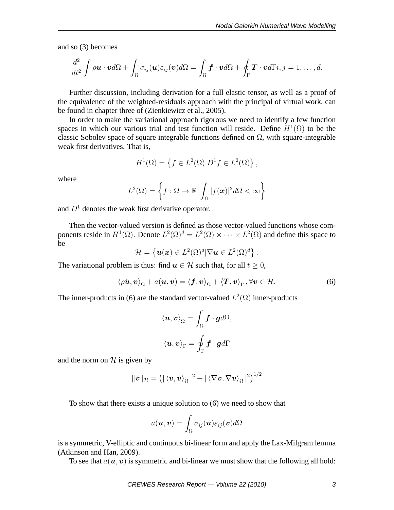and so (3) becomes

$$
\frac{d^2}{dt^2}\int \rho \boldsymbol{u}\cdot \boldsymbol{v} d\Omega + \int_{\Omega} \sigma_{ij}(\boldsymbol{u}) \varepsilon_{ij}(\boldsymbol{v}) d\Omega = \int_{\Omega} \boldsymbol{f} \cdot \boldsymbol{v} d\Omega + \oint_{\Gamma} \boldsymbol{T} \cdot \boldsymbol{v} d\Gamma i, j=1,\ldots,d.
$$

Further discussion, including derivation for a full elastic tensor, as well as a proof of the equivalence of the weighted-residuals approach with the principal of virtual work, can be found in chapter three of (Zienkiewicz et al., 2005).

In order to make the variational approach rigorous we need to identify a few function spaces in which our various trial and test function will reside. Define  $H^1(\Omega)$  to be the classic Sobolev space of square integrable functions defined on  $\Omega$ , with square-integrable weak first derivatives. That is,

$$
H^{1}(\Omega) = \{ f \in L^{2}(\Omega) | D^{1} f \in L^{2}(\Omega) \},
$$

where

$$
L^{2}(\Omega) = \left\{ f : \Omega \to \mathbb{R} \vert \int_{\Omega} \vert f(\boldsymbol{x}) \vert^{2} d\Omega < \infty \right\}
$$

and  $D<sup>1</sup>$  denotes the weak first derivative operator.

Then the vector-valued version is defined as those vector-valued functions whose components reside in  $H^1(\Omega)$ . Denote  $L^2(\Omega)^d = L^2(\Omega) \times \cdots \times L^2(\Omega)$  and define this space to be

$$
\mathcal{H} = \left\{ \boldsymbol{u}(\boldsymbol{x}) \in L^2(\Omega)^d | \nabla \boldsymbol{u} \in L^2(\Omega)^d \right\}.
$$

The variational problem is thus: find  $u \in \mathcal{H}$  such that, for all  $t \geq 0$ ,

$$
\langle \rho \ddot{\boldsymbol{u}}, \boldsymbol{v} \rangle_{\Omega} + a(\boldsymbol{u}, \boldsymbol{v}) = \langle \boldsymbol{f}, \boldsymbol{v} \rangle_{\Omega} + \langle \boldsymbol{T}, \boldsymbol{v} \rangle_{\Gamma}, \forall \boldsymbol{v} \in \mathcal{H}.
$$
 (6)

The inner-products in (6) are the standard vector-valued  $L^2(\Omega)$  inner-products

$$
\langle \boldsymbol{u}, \boldsymbol{v} \rangle_{\Omega} = \int_{\Omega} \boldsymbol{f} \cdot \boldsymbol{g} d\Omega,
$$
  

$$
\langle \boldsymbol{u}, \boldsymbol{v} \rangle_{\Gamma} = \oint_{\Gamma} \boldsymbol{f} \cdot \boldsymbol{g} d\Gamma
$$

and the norm on  $H$  is given by

$$
\|\boldsymbol{v}\|_{\mathcal{H}}=\left(|\left\langle \boldsymbol{v},\boldsymbol{v}\right\rangle _{\Omega}|^{2}+|\left\langle \nabla\boldsymbol{v},\nabla\boldsymbol{v}\right\rangle _{\Omega}|^{2}\right)^{1/2}
$$

To show that there exists a unique solution to (6) we need to show that

$$
a(\boldsymbol{u},\boldsymbol{v})=\int_{\Omega}\sigma_{ij}(\boldsymbol{u})\varepsilon_{ij}(\boldsymbol{v})d\Omega
$$

is a symmetric, V-elliptic and continuous bi-linear form and apply the Lax-Milgram lemma (Atkinson and Han, 2009).

To see that  $a(\mathbf{u}, \mathbf{v})$  is symmetric and bi-linear we must show that the following all hold: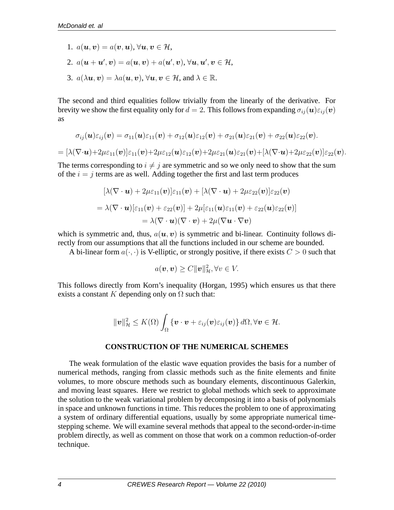- 1.  $a(\boldsymbol{u}, \boldsymbol{v}) = a(\boldsymbol{v}, \boldsymbol{u}), \forall \boldsymbol{u}, \boldsymbol{v} \in \mathcal{H}$
- 2.  $a(\mathbf{u} + \mathbf{u}', \mathbf{v}) = a(\mathbf{u}, \mathbf{v}) + a(\mathbf{u}', \mathbf{v}), \forall \mathbf{u}, \mathbf{u}', \mathbf{v} \in \mathcal{H}$
- 3.  $a(\lambda \mathbf{u}, \mathbf{v}) = \lambda a(\mathbf{u}, \mathbf{v}), \forall \mathbf{u}, \mathbf{v} \in \mathcal{H}$ , and  $\lambda \in \mathbb{R}$ .

The second and third equalities follow trivially from the linearly of the derivative. For brevity we show the first equality only for  $d = 2$ . This follows from expanding  $\sigma_{ii}(\mathbf{u})\varepsilon_{ii}(\mathbf{v})$ as

$$
\sigma_{ij}(\boldsymbol{u})\varepsilon_{ij}(\boldsymbol{v})=\sigma_{11}(\boldsymbol{u})\varepsilon_{11}(\boldsymbol{v})+\sigma_{12}(\boldsymbol{u})\varepsilon_{12}(\boldsymbol{v})+\sigma_{21}(\boldsymbol{u})\varepsilon_{21}(\boldsymbol{v})+\sigma_{22}(\boldsymbol{u})\varepsilon_{22}(\boldsymbol{v}).
$$

$$
=[\lambda(\nabla\cdot\boldsymbol{u})+2\mu\varepsilon_{11}(\boldsymbol{v})]\varepsilon_{11}(\boldsymbol{v})+2\mu\varepsilon_{12}(\boldsymbol{u})\varepsilon_{12}(\boldsymbol{v})+2\mu\varepsilon_{21}(\boldsymbol{u})\varepsilon_{21}(\boldsymbol{v})+[\lambda(\nabla\cdot\boldsymbol{u})+2\mu\varepsilon_{22}(\boldsymbol{v})]\varepsilon_{22}(\boldsymbol{v}).
$$

The terms corresponding to  $i \neq j$  are symmetric and so we only need to show that the sum of the  $i = j$  terms are as well. Adding together the first and last term produces

$$
[\lambda(\nabla \cdot \mathbf{u}) + 2\mu \varepsilon_{11}(\mathbf{v})] \varepsilon_{11}(\mathbf{v}) + [\lambda(\nabla \cdot \mathbf{u}) + 2\mu \varepsilon_{22}(\mathbf{v})] \varepsilon_{22}(\mathbf{v})
$$
  
=  $\lambda(\nabla \cdot \mathbf{u}) [\varepsilon_{11}(\mathbf{v}) + \varepsilon_{22}(\mathbf{v})] + 2\mu [\varepsilon_{11}(\mathbf{u}) \varepsilon_{11}(\mathbf{v}) + \varepsilon_{22}(\mathbf{u}) \varepsilon_{22}(\mathbf{v})]$   
=  $\lambda(\nabla \cdot \mathbf{u})(\nabla \cdot \mathbf{v}) + 2\mu(\nabla \mathbf{u} \cdot \nabla \mathbf{v})$ 

which is symmetric and, thus,  $a(\mathbf{u}, \mathbf{v})$  is symmetric and bi-linear. Continuity follows directly from our assumptions that all the functions included in our scheme are bounded.

A bi-linear form  $a(\cdot, \cdot)$  is V-elliptic, or strongly positive, if there exists  $C > 0$  such that

$$
a(\boldsymbol{v},\boldsymbol{v})\geq C\|\boldsymbol{v}\|_{\mathcal{H}}^2, \forall v\in V.
$$

This follows directly from Korn's inequality (Horgan, 1995) which ensures us that there exists a constant K depending only on  $\Omega$  such that:

$$
\|\boldsymbol{v}\|_{\mathcal{H}}^2 \leq K(\Omega) \int_{\Omega} \{\boldsymbol{v} \cdot \boldsymbol{v} + \varepsilon_{ij}(\boldsymbol{v}) \varepsilon_{ij}(\boldsymbol{v})\} d\Omega, \forall \boldsymbol{v} \in \mathcal{H}.
$$

#### **CONSTRUCTION OF THE NUMERICAL SCHEMES**

The weak formulation of the elastic wave equation provides the basis for a number of numerical methods, ranging from classic methods such as the finite elements and finite volumes, to more obscure methods such as boundary elements, discontinuous Galerkin, and moving least squares. Here we restrict to global methods which seek to approximate the solution to the weak variational problem by decomposing it into a basis of polynomials in space and unknown functions in time. This reduces the problem to one of approximating a system of ordinary differential equations, usually by some appropriate numerical timestepping scheme. We will examine several methods that appeal to the second-order-in-time problem directly, as well as comment on those that work on a common reduction-of-order technique.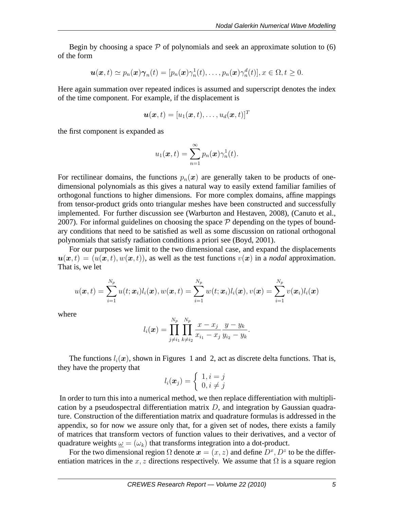Begin by choosing a space  $P$  of polynomials and seek an approximate solution to (6) of the form

$$
\boldsymbol{u}(\boldsymbol{x},t)\simeq p_n(\boldsymbol{x})\boldsymbol{\gamma}_n(t)=[p_n(\boldsymbol{x})\gamma_n^1(t),\ldots,p_n(\boldsymbol{x})\gamma_n^d(t)], x\in\Omega, t\geq 0.
$$

Here again summation over repeated indices is assumed and superscript denotes the index of the time component. For example, if the displacement is

$$
\boldsymbol{u}(\boldsymbol{x},t)=[u_1(\boldsymbol{x},t),\ldots,u_d(\boldsymbol{x},t)]^T
$$

the first component is expanded as

$$
u_1(\boldsymbol{x},t)=\sum_{n=1}^{\infty}p_n(\boldsymbol{x})\gamma_n^1(t).
$$

For rectilinear domains, the functions  $p_n(x)$  are generally taken to be products of onedimensional polynomials as this gives a natural way to easily extend familiar families of orthogonal functions to higher dimensions. For more complex domains, affine mappings from tensor-product grids onto triangular meshes have been constructed and successfully implemented. For further discussion see (Warburton and Hestaven, 2008), (Canuto et al., 2007). For informal guidelines on choosing the space  $P$  depending on the types of boundary conditions that need to be satisfied as well as some discussion on rational orthogonal polynomials that satisfy radiation conditions a priori see (Boyd, 2001).

For our purposes we limit to the two dimensional case, and expand the displacements  $u(x,t) = (u(x,t), w(x,t))$ , as well as the test functions  $v(x)$  in a *nodal* approximation. That is, we let

$$
u(\boldsymbol{x},t)=\sum_{i=1}^{N_p}u(t;\boldsymbol{x}_i)l_i(\boldsymbol{x}), w(\boldsymbol{x},t)=\sum_{i=1}^{N_p}w(t;\boldsymbol{x}_i)l_i(\boldsymbol{x}), v(\boldsymbol{x})=\sum_{i=1}^{N_p}v(\boldsymbol{x}_i)l_i(\boldsymbol{x})
$$

where

$$
l_i(\boldsymbol{x}) = \prod_{j \neq i_1}^{N_p} \prod_{k \neq i_2}^{N_p} \frac{x - x_j}{x_{i_1} - x_j} \frac{y - y_k}{y_{i_2} - y_k}.
$$

The functions  $l_i(\mathbf{x})$ , shown in Figures 1 and 2, act as discrete delta functions. That is, they have the property that

$$
l_i(\boldsymbol{x}_j) = \left\{ \begin{array}{l} 1, i = j \\ 0, i \neq j \end{array} \right.
$$

In order to turn this into a numerical method, we then replace differentiation with multiplication by a pseudospectral differentiation matrix  $D$ , and integration by Gaussian quadrature. Construction of the differentiation matrix and quadrature formulas is addressed in the appendix, so for now we assure only that, for a given set of nodes, there exists a family of matrices that transform vectors of function values to their derivatives, and a vector of quadrature weights  $\omega = (\omega_k)$  that transforms integration into a dot-product.

For the two dimensional region  $\Omega$  denote  $\mathbf{x} = (x, z)$  and define  $D^x, D^z$  to be the differentiation matrices in the x, z directions respectively. We assume that  $\Omega$  is a square region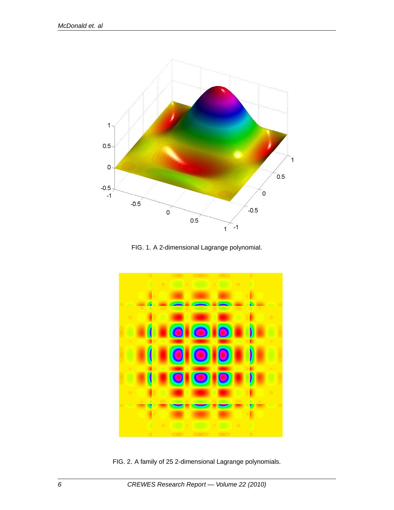

FIG. 1. A 2-dimensional Lagrange polynomial.



FIG. 2. A family of 25 2-dimensional Lagrange polynomials.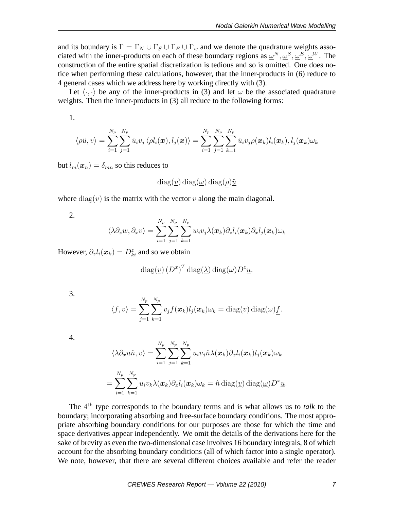and its boundary is  $\Gamma = \Gamma_N \cup \Gamma_S \cup \Gamma_E \cup \Gamma_w$  and we denote the quadrature weights associated with the inner-products on each of these boundary regions as  $\omega^N, \omega^S, \omega^E, \omega^W$ . The construction of the entire spatial discretization is tedious and so is omitted. One does notice when performing these calculations, however, that the inner-products in (6) reduce to 4 general cases which we address here by working directly with (3).

Let  $\langle \cdot, \cdot \rangle$  be any of the inner-products in (3) and let  $\omega$  be the associated quadrature weights. Then the inner-products in (3) all reduce to the following forms:

1.

$$
\langle \rho \ddot{u}, v \rangle = \sum_{i=1}^{N_p}\sum_{j=1}^{N_p} \ddot{u}_i v_j \langle \rho l_i(\boldsymbol{x}), l_j(\boldsymbol{x}) \rangle = \sum_{i=1}^{N_p}\sum_{j=1}^{N_p}\sum_{k=1}^{N_p} \ddot{u}_i v_j \rho(\boldsymbol{x}_k) l_i(\boldsymbol{x}_k), l_j(\boldsymbol{x}_k) \omega_k
$$

but  $l_m(\boldsymbol{x}_n) = \delta_{mn}$  so this reduces to

$$
diag(\underline{v}) diag(\underline{\omega}) diag(\rho)\underline{\ddot{u}}
$$

where  $diag(v)$  is the matrix with the vector v along the main diagonal.

2.

$$
\langle \lambda \partial_z w, \partial_x v \rangle = \sum_{i=1}^{N_p} \sum_{j=1}^{N_p} \sum_{k=1}^{N_p} w_i v_j \lambda(\boldsymbol{x}_k) \partial_z l_i(\boldsymbol{x}_k) \partial_x l_j(\boldsymbol{x}_k) \omega_k
$$

However,  $\partial_z l_i(\mathbf{x}_k) = D_{ki}^z$  and so we obtain

$$
\operatorname{diag}(\underline{v}) (D^x)^T \operatorname{diag}(\underline{\lambda}) \operatorname{diag}(\omega) D^z \underline{u}.
$$

3.

$$
\langle f, v \rangle = \sum_{j=1}^{N_p} \sum_{k=1}^{N_p} v_j f(\boldsymbol{x}_k) l_j(\boldsymbol{x}_k) \omega_k = \text{diag}(\underline{v}) \text{ diag}(\underline{\omega}) \underline{f}.
$$

| . . |  |
|-----|--|
|     |  |

$$
\langle \lambda \partial_x u \hat{n}, v \rangle = \sum_{i=1}^{N_p} \sum_{j=1}^{N_p} \sum_{k=1}^{N_p} u_i v_j \hat{n} \lambda(\boldsymbol{x}_k) \partial_x l_i(\boldsymbol{x}_k) l_j(\boldsymbol{x}_k) \omega_k
$$
  
= 
$$
\sum_{i=1}^{N_p} \sum_{k=1}^{N_p} u_i v_k \lambda(\boldsymbol{x}_k) \partial_x l_i(\boldsymbol{x}_k) \omega_k = \hat{n} \operatorname{diag}(\underline{v}) \operatorname{diag}(\underline{\omega}) D^x \underline{u}.
$$

The 4 th type corresponds to the boundary terms and is what allows us to *talk* to the boundary; incorporating absorbing and free-surface boundary conditions. The most appropriate absorbing boundary conditions for our purposes are those for which the time and space derivatives appear independently. We omit the details of the derivations here for the sake of brevity as even the two-dimensional case involves 16 boundary integrals, 8 of which account for the absorbing boundary conditions (all of which factor into a single operator). We note, however, that there are several different choices available and refer the reader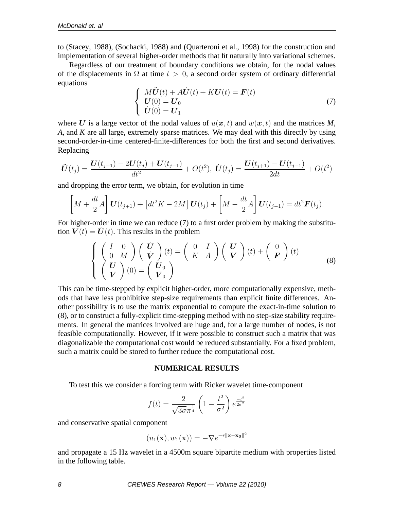to (Stacey, 1988), (Sochacki, 1988) and (Quarteroni et al., 1998) for the construction and implementation of several higher-order methods that fit naturally into variational schemes.

Regardless of our treatment of boundary conditions we obtain, for the nodal values of the displacements in  $\Omega$  at time  $t > 0$ , a second order system of ordinary differential equations

$$
\begin{cases}\nM\ddot{\mathbf{U}}(t) + A\dot{\mathbf{U}}(t) + K\mathbf{U}(t) = \mathbf{F}(t) \\
\mathbf{U}(0) = \mathbf{U}_0 \\
\dot{\mathbf{U}}(0) = \mathbf{U}_1\n\end{cases}
$$
\n(7)

where U is a large vector of the nodal values of  $u(x, t)$  and  $w(x, t)$  and the matrices M, *A*, and *K* are all large, extremely sparse matrices. We may deal with this directly by using second-order-in-time centered-finite-differences for both the first and second derivatives. Replacing

$$
\ddot{\boldsymbol{U}}(t_j) = \frac{\boldsymbol{U}(t_{j+1}) - 2\boldsymbol{U}(t_j) + \boldsymbol{U}(t_{j-1})}{dt^2} + O(t^2), \ \dot{\boldsymbol{U}}(t_j) = \frac{\boldsymbol{U}(t_{j+1}) - \boldsymbol{U}(t_{j-1})}{2dt} + O(t^2)
$$

and dropping the error term, we obtain, for evolution in time

$$
\[M + \frac{dt}{2}A\] \mathbf{U}(t_{j+1}) + \left[dt^2 K - 2M\right] \mathbf{U}(t_j) + \left[M - \frac{dt}{2}A\right] \mathbf{U}(t_{j-1}) = dt^2 \mathbf{F}(t_j).
$$

For higher-order in time we can reduce (7) to a first order problem by making the substitution  $V(t) = U(t)$ . This results in the problem

$$
\begin{cases}\n\begin{pmatrix}\nI & 0 \\
0 & M\n\end{pmatrix}\n\begin{pmatrix}\n\dot{\mathbf{U}} \\
\dot{\mathbf{V}}\n\end{pmatrix}(t) =\n\begin{pmatrix}\n0 & I \\
K & A\n\end{pmatrix}\n\begin{pmatrix}\n\mathbf{U} \\
\mathbf{V}\n\end{pmatrix}(t) +\n\begin{pmatrix}\n0 \\
\mathbf{F}\n\end{pmatrix}(t) \\
\begin{pmatrix}\n\mathbf{U} \\
\mathbf{V}\n\end{pmatrix}(0) =\n\begin{pmatrix}\n\mathbf{U}_0 \\
\mathbf{V}_0\n\end{pmatrix}\n\end{cases}
$$
\n(8)

This can be time-stepped by explicit higher-order, more computationally expensive, methods that have less prohibitive step-size requirements than explicit finite differences. Another possibility is to use the matrix exponential to compute the exact-in-time solution to (8), or to construct a fully-explicit time-stepping method with no step-size stability requirements. In general the matrices involved are huge and, for a large number of nodes, is not feasible computationally. However, if it were possible to construct such a matrix that was diagonalizable the computational cost would be reduced substantially. For a fixed problem, such a matrix could be stored to further reduce the computational cost.

### **NUMERICAL RESULTS**

To test this we consider a forcing term with Ricker wavelet time-component

$$
f(t) = \frac{2}{\sqrt{3\sigma}\pi^{\frac{1}{4}}} \left( 1 - \frac{t^2}{\sigma^2} \right) e^{\frac{-t^2}{2\sigma^2}}
$$

and conservative spatial component

$$
(u_1(\mathbf{x}), w_1(\mathbf{x})) = -\nabla e^{-r||\mathbf{x} - \mathbf{x_0}||^2}
$$

and propagate a 15 Hz wavelet in a 4500m square bipartite medium with properties listed in the following table.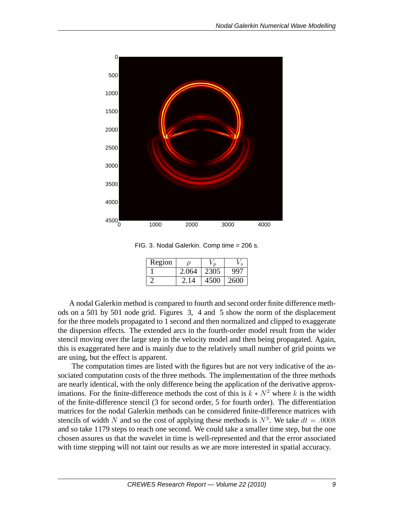

FIG. 3. Nodal Galerkin. Comp time = 206 s.

| Region |       |      |      |
|--------|-------|------|------|
|        | 2.064 | 2305 | 99   |
|        | 214   |      | 2600 |

A nodal Galerkin method is compared to fourth and second order finite difference methods on a 501 by 501 node grid. Figures 3, 4 and 5 show the norm of the displacement for the three models propagated to 1 second and then normalized and clipped to exaggerate the dispersion effects. The extended arcs in the fourth-order model result from the wider stencil moving over the large step in the velocity model and then being propagated. Again, this is exaggerated here and is mainly due to the relatively small number of grid points we are using, but the effect is apparent.

The computation times are listed with the figures but are not very indicative of the associated computation costs of the three methods. The implementation of the three methods are nearly identical, with the only difference being the application of the derivative approximations. For the finite-difference methods the cost of this is  $k * N^2$  where k is the width of the finite-difference stencil (3 for second order, 5 for fourth order). The differentiation matrices for the nodal Galerkin methods can be considered finite-difference matrices with stencils of width N and so the cost of applying these methods is  $N^3$ . We take  $dt = .0008$ and so take 1179 steps to reach one second. We could take a smaller time step, but the one chosen assures us that the wavelet in time is well-represented and that the error associated with time stepping will not taint our results as we are more interested in spatial accuracy.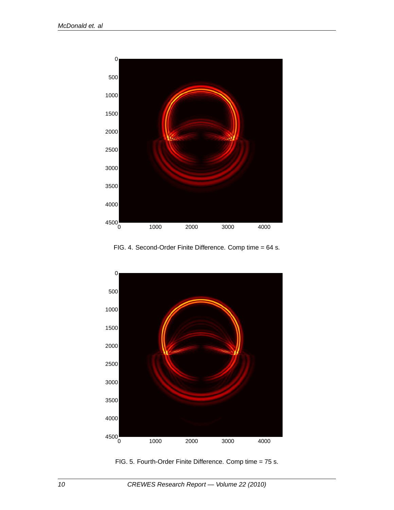

FIG. 4. Second-Order Finite Difference. Comp time = 64 s.



FIG. 5. Fourth-Order Finite Difference. Comp time = 75 s.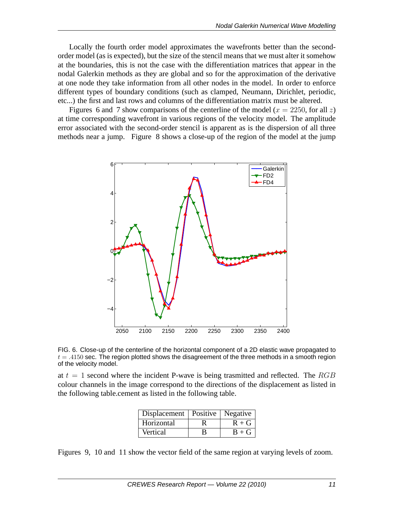Locally the fourth order model approximates the wavefronts better than the secondorder model (as is expected), but the size of the stencil means that we must alter it somehow at the boundaries, this is not the case with the differentiation matrices that appear in the nodal Galerkin methods as they are global and so for the approximation of the derivative at one node they take information from all other nodes in the model. In order to enforce different types of boundary conditions (such as clamped, Neumann, Dirichlet, periodic, etc...) the first and last rows and columns of the differentiation matrix must be altered.

Figures 6 and 7 show comparisons of the centerline of the model ( $x = 2250$ , for all z) at time corresponding wavefront in various regions of the velocity model. The amplitude error associated with the second-order stencil is apparent as is the dispersion of all three methods near a jump. Figure 8 shows a close-up of the region of the model at the jump



FIG. 6. Close-up of the centerline of the horizontal component of a 2D elastic wave propagated to  $t = .4150$  sec. The region plotted shows the disagreement of the three methods in a smooth region of the velocity model.

at  $t = 1$  second where the incident P-wave is being trasmitted and reflected. The RGB colour channels in the image correspond to the directions of the displacement as listed in the following table.cement as listed in the following table.

| Displacement   Positive   Negative |   |         |
|------------------------------------|---|---------|
| Horizontal                         |   | $R + G$ |
| Vertical                           | В | $B + G$ |

Figures 9, 10 and 11 show the vector field of the same region at varying levels of zoom.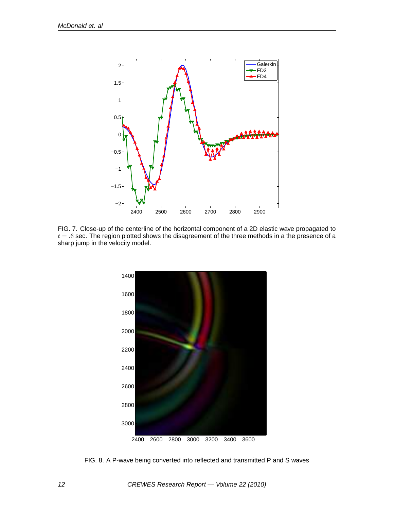

FIG. 7. Close-up of the centerline of the horizontal component of a 2D elastic wave propagated to  $t = .6$  sec. The region plotted shows the disagreement of the three methods in a the presence of a sharp jump in the velocity model.



FIG. 8. A P-wave being converted into reflected and transmitted P and S waves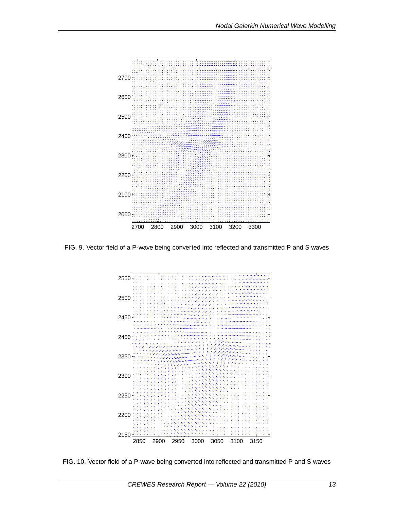

FIG. 9. Vector field of a P-wave being converted into reflected and transmitted P and S waves



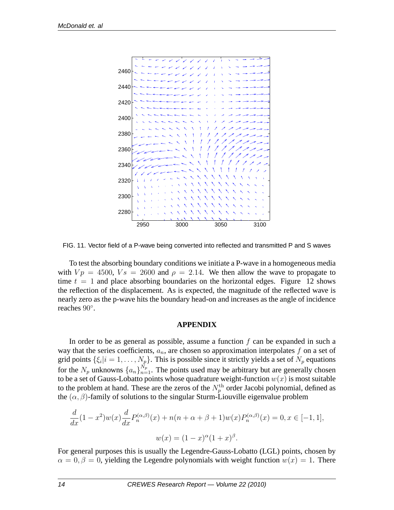

FIG. 11. Vector field of a P-wave being converted into reflected and transmitted P and S waves

To test the absorbing boundary conditions we initiate a P-wave in a homogeneous media with  $Vp = 4500$ ,  $Vs = 2600$  and  $\rho = 2.14$ . We then allow the wave to propagate to time  $t = 1$  and place absorbing boundaries on the horizontal edges. Figure 12 shows the reflection of the displacement. As is expected, the magnitude of the reflected wave is nearly zero as the p-wave hits the boundary head-on and increases as the angle of incidence reaches 90◦ .

### **APPENDIX**

In order to be as general as possible, assume a function  $f$  can be expanded in such a way that the series coefficients,  $a_n$ , are chosen so approximation interpolates f on a set of grid points  $\{\xi_i|i=1,\ldots,N_p\}$ . This is possible since it strictly yields a set of  $N_p$  equations for the  $N_p$  unknowns  $\{a_n\}_{n=1}^{N_p}$ . The points used may be arbitrary but are generally chosen to be a set of Gauss-Lobatto points whose quadrature weight-function  $w(x)$  is most suitable to the problem at hand. These are the zeros of the  $N_p^{\text{th}}$  order Jacobi polynomial, defined as the  $(\alpha, \beta)$ -family of solutions to the singular Sturm-Liouville eigenvalue problem

$$
\frac{d}{dx}(1-x^2)w(x)\frac{d}{dx}P_n^{(\alpha,\beta)}(x) + n(n+\alpha+\beta+1)w(x)P_n^{(\alpha,\beta)}(x) = 0, x \in [-1,1],
$$
  

$$
w(x) = (1-x)^{\alpha}(1+x)^{\beta}.
$$

For general purposes this is usually the Legendre-Gauss-Lobatto (LGL) points, chosen by  $\alpha = 0, \beta = 0$ , yielding the Legendre polynomials with weight function  $w(x) = 1$ . There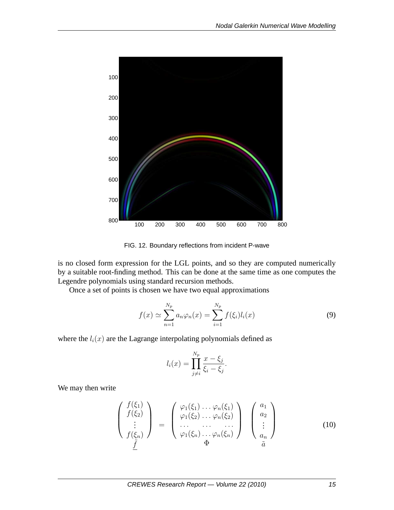

FIG. 12. Boundary reflections from incident P-wave

is no closed form expression for the LGL points, and so they are computed numerically by a suitable root-finding method. This can be done at the same time as one computes the Legendre polynomials using standard recursion methods.

Once a set of points is chosen we have two equal approximations

$$
f(x) \simeq \sum_{n=1}^{N_p} a_n \varphi_n(x) = \sum_{i=1}^{N_p} f(\xi_i) l_i(x)
$$
 (9)

where the  $l_i(x)$  are the Lagrange interpolating polynomials defined as

$$
l_i(x) = \prod_{j \neq i}^{N_p} \frac{x - \xi_j}{\xi_i - \xi_j}.
$$

We may then write

$$
\begin{pmatrix}\nf(\xi_1) \\
f(\xi_2) \\
\vdots \\
f(\xi_n)\n\end{pmatrix} = \begin{pmatrix}\n\varphi_1(\xi_1) \dots \varphi_n(\xi_1) \\
\varphi_1(\xi_2) \dots \varphi_n(\xi_2) \\
\vdots \\
\varphi_1(\xi_n) \dots \varphi_n(\xi_n)\n\end{pmatrix} \begin{pmatrix}\na_1 \\
a_2 \\
\vdots \\
a_n\n\end{pmatrix}
$$
\n(10)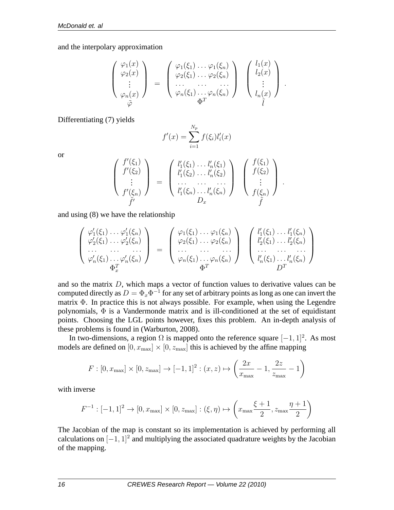and the interpolary approximation

$$
\begin{pmatrix}\n\varphi_1(x) \\
\varphi_2(x) \\
\vdots \\
\varphi_n(x)\n\end{pmatrix} = \begin{pmatrix}\n\varphi_1(\xi_1) \dots \varphi_1(\xi_n) \\
\varphi_2(\xi_1) \dots \varphi_2(\xi_n) \\
\vdots \\
\varphi_n(\xi_1) \dots \varphi_n(\xi_n)\n\end{pmatrix} \begin{pmatrix}\nl_1(x) \\
l_2(x) \\
\vdots \\
l_n(x)\n\end{pmatrix}
$$

.

Differentiating (7) yields

$$
f'(x) = \sum_{i=1}^{N_p} f(\xi_i) l'_i(x)
$$

or

$$
\begin{pmatrix}\nf'(\xi_1) \\
f'(\xi_2) \\
\vdots \\
f'(\xi_n)\n\end{pmatrix} = \begin{pmatrix}\nl'_1(\xi_1) \ldots l'_n(\xi_1) \\
l'_1(\xi_2) \ldots l'_n(\xi_2) \\
\ldots \ldots \ldots \\
l'_1(\xi_n) \ldots l'_n(\xi_n)\n\end{pmatrix} \begin{pmatrix}\nf(\xi_1) \\
f(\xi_2) \\
\vdots \\
f(\xi_n)\n\end{pmatrix}.
$$

and using (8) we have the relationship

$$
\begin{pmatrix}\n\varphi_1'(\xi_1) \dots \varphi_1'(\xi_n) \\
\varphi_2'(\xi_1) \dots \varphi_2'(\xi_n) \\
\vdots \\
\varphi_n'(\xi_1) \dots \varphi_n'(\xi_n)\n\end{pmatrix} = \begin{pmatrix}\n\varphi_1(\xi_1) \dots \varphi_1(\xi_n) \\
\varphi_2(\xi_1) \dots \varphi_2(\xi_n) \\
\vdots \\
\varphi_n(\xi_1) \dots \varphi_n(\xi_n)\n\end{pmatrix} \begin{pmatrix}\nl_1'(\xi_1) \dots l_1'(\xi_n) \\
l_2'(\xi_1) \dots l_2'(\xi_n) \\
\vdots \\
l_n'(\xi_1) \dots l_n'(\xi_n)\n\end{pmatrix}
$$

and so the matrix  $D$ , which maps a vector of function values to derivative values can be computed directly as  $D = \Phi_x \Phi^{-1}$  for any set of arbitrary points as long as one can invert the matrix  $\Phi$ . In practice this is not always possible. For example, when using the Legendre polynomials,  $\Phi$  is a Vandermonde matrix and is ill-conditioned at the set of equidistant points. Choosing the LGL points however, fixes this problem. An in-depth analysis of these problems is found in (Warburton, 2008).

In two-dimensions, a region  $\Omega$  is mapped onto the reference square  $[-1, 1]^2$ . As most models are defined on  $[0, x_{\text{max}}] \times [0, z_{\text{max}}]$  this is achieved by the affine mapping

$$
F: [0, x_{\text{max}}] \times [0, z_{\text{max}}] \to [-1, 1]^2 : (x, z) \mapsto \left(\frac{2x}{x_{\text{max}}} - 1, \frac{2z}{z_{\text{max}}} - 1\right)
$$

with inverse

$$
F^{-1}:[-1,1]^2\rightarrow [0,x_{\max}]\times [0,z_{\max}]: (\xi,\eta)\mapsto \left(x_{\max}\frac{\xi+1}{2},z_{\max}\frac{\eta+1}{2}\right)
$$

The Jacobian of the map is constant so its implementation is achieved by performing all calculations on  $[-1, 1]^2$  and multiplying the associated quadrature weights by the Jacobian of the mapping.